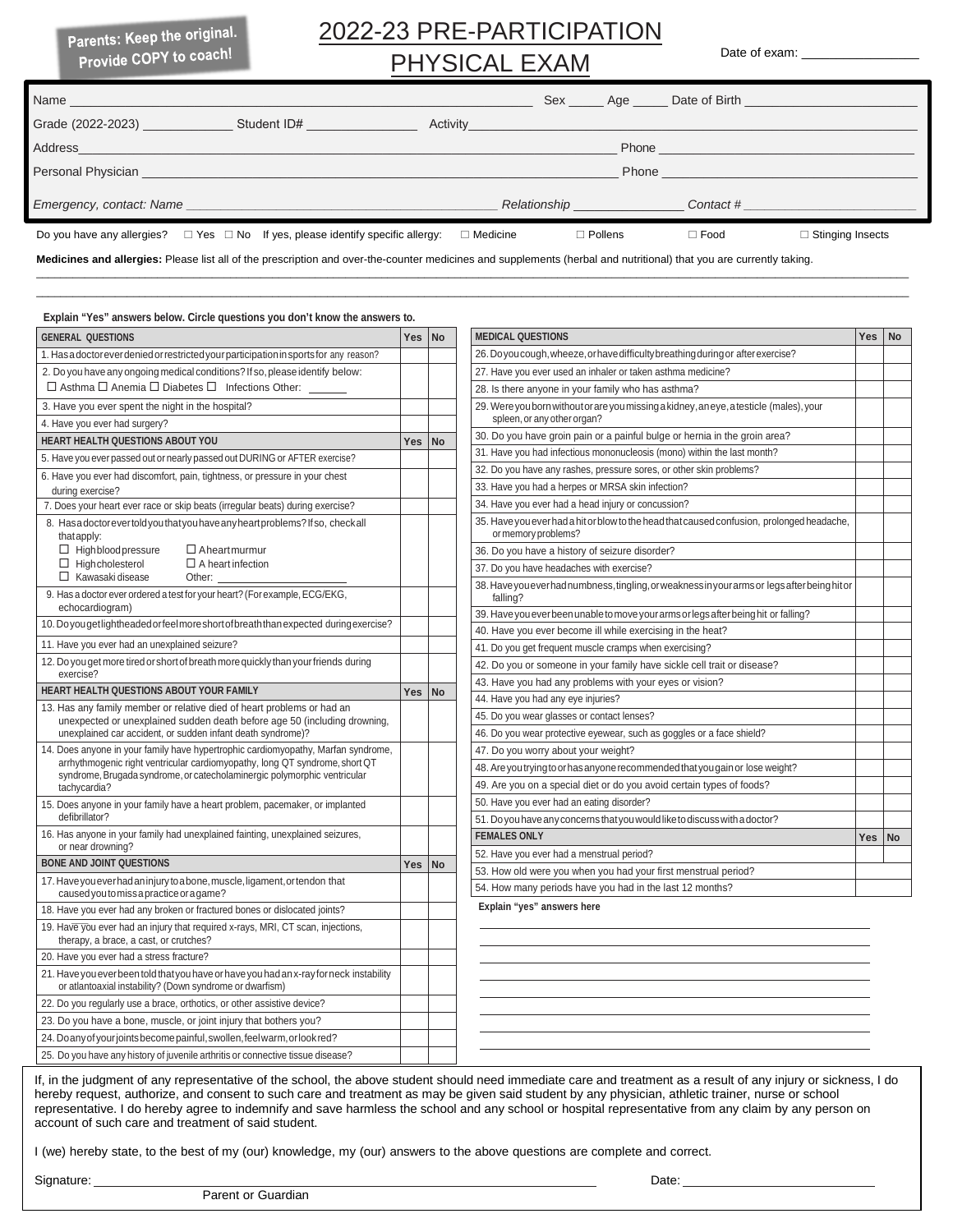Parents: Keep the original. Provide COPY to coach!

## 2022-23 PRE-PARTICIPATION PHYSICAL EXAM

Date of exam:

| Name                     |                                                                                                 |                 | Sex                       | Age            | Date of Birth _                |                         |
|--------------------------|-------------------------------------------------------------------------------------------------|-----------------|---------------------------|----------------|--------------------------------|-------------------------|
|                          | Student ID#                                                                                     |                 |                           |                |                                |                         |
| Address                  |                                                                                                 |                 |                           |                | Phone <b>Exercise Property</b> |                         |
| Personal Physician       |                                                                                                 |                 |                           | <b>Phone</b>   |                                |                         |
| Emergency, contact: Name |                                                                                                 |                 | Relationship ____________ |                | Contact #                      |                         |
|                          | Do you have any allergies? $\square$ Yes $\square$ No If yes, please identify specific allergy: | $\Box$ Medicine |                           | $\Box$ Pollens | $\Box$ Food                    | $\Box$ Stinging Insects |

\_\_\_\_\_\_\_\_\_\_\_\_\_\_\_\_\_\_\_\_\_\_\_\_\_\_\_\_\_\_\_\_\_\_\_\_\_\_\_\_\_\_\_\_\_\_\_\_\_\_\_\_\_\_\_\_\_\_\_\_\_\_\_\_\_\_\_\_\_\_\_\_\_\_\_\_\_\_\_\_\_\_\_\_\_\_\_\_\_\_\_\_\_\_\_\_\_\_\_\_\_\_\_\_\_\_\_\_\_\_\_\_\_\_\_\_\_\_\_\_\_\_\_\_\_\_\_\_\_\_\_\_\_\_\_\_\_\_\_\_\_\_\_\_ \_\_\_\_\_\_\_\_\_\_\_\_\_\_\_\_\_\_\_\_\_\_\_\_\_\_\_\_\_\_\_\_\_\_\_\_\_\_\_\_\_\_\_\_\_\_\_\_\_\_\_\_\_\_\_\_\_\_\_\_\_\_\_\_\_\_\_\_\_\_\_\_\_\_\_\_\_\_\_\_\_\_\_\_\_\_\_\_\_\_\_\_\_\_\_\_\_\_\_\_\_\_\_\_\_\_\_\_\_\_\_\_\_\_\_\_\_\_\_\_\_\_\_\_\_\_\_\_\_\_\_\_\_\_\_\_\_\_\_\_\_\_\_\_

**Medicines and allergies:** Please list all of the prescription and over-the-counter medicines and supplements (herbal and nutritional) that you are currently taking.

| Explain "Yes" answers below. Circle questions you don't know the answers to.                                                                            |            |           |                                                                                                                                                |            |    |  |
|---------------------------------------------------------------------------------------------------------------------------------------------------------|------------|-----------|------------------------------------------------------------------------------------------------------------------------------------------------|------------|----|--|
| <b>GENERAL QUESTIONS</b>                                                                                                                                | <b>Yes</b> | <b>No</b> | <b>MEDICAL QUESTIONS</b>                                                                                                                       | <b>Yes</b> | No |  |
| 1. Has a doctor ever denied or restricted your participation in sports for any reason?                                                                  |            |           | 26. Do you cough, wheeze, or have difficulty breathing during or after exercise?                                                               |            |    |  |
| 2. Do you have any ongoing medical conditions? If so, please identify below:                                                                            |            |           | 27. Have you ever used an inhaler or taken asthma medicine?                                                                                    |            |    |  |
| $\Box$ Asthma $\Box$ Anemia $\Box$ Diabetes $\Box$ Infections Other: _                                                                                  |            |           | 28. Is there anyone in your family who has asthma?                                                                                             |            |    |  |
| 3. Have you ever spent the night in the hospital?                                                                                                       |            |           | 29. Were you born without or are you missing a kidney, an eye, a testicle (males), your<br>spleen, or any other organ?                         |            |    |  |
| 4. Have you ever had surgery?                                                                                                                           |            |           |                                                                                                                                                |            |    |  |
| <b>HEART HEALTH QUESTIONS ABOUT YOU</b>                                                                                                                 | <b>Yes</b> | <b>No</b> | 30. Do you have groin pain or a painful bulge or hernia in the groin area?                                                                     |            |    |  |
| 5. Have you ever passed out or nearly passed out DURING or AFTER exercise?                                                                              |            |           | 31. Have you had infectious mononucleosis (mono) within the last month?<br>32. Do you have any rashes, pressure sores, or other skin problems? |            |    |  |
| 6. Have you ever had discomfort, pain, tightness, or pressure in your chest                                                                             |            |           |                                                                                                                                                |            |    |  |
| during exercise?                                                                                                                                        |            |           | 33. Have you had a herpes or MRSA skin infection?                                                                                              |            |    |  |
| 7. Does your heart ever race or skip beats (irregular beats) during exercise?                                                                           |            |           | 34. Have you ever had a head injury or concussion?                                                                                             |            |    |  |
| 8. Hasadoctorevertoldyouthatyouhaveanyheartproblems? If so, checkall<br>that apply:                                                                     |            |           | 35. Have you ever had a hit or blow to the head that caused confusion, prolonged headache,<br>or memory problems?                              |            |    |  |
| $\Box$ Highblood pressure<br>$\Box$ Aheartmurmur                                                                                                        |            |           | 36. Do you have a history of seizure disorder?                                                                                                 |            |    |  |
| $\Box$ High cholesterol<br>$\Box$ A heart infection<br>$\Box$ Kawasaki disease<br>Other:                                                                |            |           | 37. Do you have headaches with exercise?                                                                                                       |            |    |  |
| 9. Has a doctor ever ordered a test for your heart? (For example, ECG/EKG,                                                                              |            |           | 38. Have you ever had numbness, tingling, or weakness in your arms or legs after being hit or<br>falling?                                      |            |    |  |
| echocardiogram)                                                                                                                                         |            |           | 39. Have you ever been unable to move your arms or legs after being hit or falling?                                                            |            |    |  |
| 10. Do you getlightheaded or feel more short of breath than expected during exercise?                                                                   |            |           | 40. Have you ever become ill while exercising in the heat?                                                                                     |            |    |  |
| 11. Have you ever had an unexplained seizure?                                                                                                           |            |           | 41. Do you get frequent muscle cramps when exercising?                                                                                         |            |    |  |
| 12. Do you get more tired or short of breath more quickly than your friends during<br>exercise?                                                         |            |           | 42. Do you or someone in your family have sickle cell trait or disease?                                                                        |            |    |  |
| <b>HEART HEALTH QUESTIONS ABOUT YOUR FAMILY</b>                                                                                                         | Yes No     |           | 43. Have you had any problems with your eyes or vision?                                                                                        |            |    |  |
| 13. Has any family member or relative died of heart problems or had an                                                                                  |            |           | 44. Have you had any eye injuries?                                                                                                             |            |    |  |
| unexpected or unexplained sudden death before age 50 (including drowning,                                                                               |            |           | 45. Do you wear glasses or contact lenses?                                                                                                     |            |    |  |
| unexplained car accident, or sudden infant death syndrome)?                                                                                             |            |           | 46. Do you wear protective eyewear, such as goggles or a face shield?                                                                          |            |    |  |
| 14. Does anyone in your family have hypertrophic cardiomyopathy, Marfan syndrome,                                                                       |            |           | 47. Do you worry about your weight?                                                                                                            |            |    |  |
| arrhythmogenic right ventricular cardiomyopathy, long QT syndrome, short QT<br>syndrome, Brugada syndrome, or catecholaminergic polymorphic ventricular |            |           | 48. Are you trying to or has anyone recommended that you gain or lose weight?                                                                  |            |    |  |
| tachycardia?                                                                                                                                            |            |           | 49. Are you on a special diet or do you avoid certain types of foods?                                                                          |            |    |  |
| 15. Does anyone in your family have a heart problem, pacemaker, or implanted                                                                            |            |           | 50. Have you ever had an eating disorder?                                                                                                      |            |    |  |
| defibrillator?                                                                                                                                          |            |           | 51. Do you have any concerns that you would like to discuss with a doctor?                                                                     |            |    |  |
| 16. Has anyone in your family had unexplained fainting, unexplained seizures,<br>or near drowning?                                                      |            |           | <b>FEMALES ONLY</b>                                                                                                                            | Yes No     |    |  |
| <b>BONE AND JOINT QUESTIONS</b>                                                                                                                         | Yes        | <b>No</b> | 52. Have you ever had a menstrual period?                                                                                                      |            |    |  |
| 17. Have you ever had an injury to a bone, muscle, ligament, or tendon that                                                                             |            |           | 53. How old were you when you had your first menstrual period?                                                                                 |            |    |  |
| caused you to miss a practice or a game?                                                                                                                |            |           | 54. How many periods have you had in the last 12 months?                                                                                       |            |    |  |
| 18. Have you ever had any broken or fractured bones or dislocated joints?                                                                               |            |           | Explain "yes" answers here                                                                                                                     |            |    |  |
| 19. Have you ever had an injury that required x-rays, MRI, CT scan, injections,<br>therapy, a brace, a cast, or crutches?                               |            |           |                                                                                                                                                |            |    |  |
| 20. Have you ever had a stress fracture?                                                                                                                |            |           |                                                                                                                                                |            |    |  |
| 21. Have you ever been told that you have or have you had an x-ray for neck instability<br>or atlantoaxial instability? (Down syndrome or dwarfism)     |            |           |                                                                                                                                                |            |    |  |
| 22. Do you regularly use a brace, orthotics, or other assistive device?                                                                                 |            |           |                                                                                                                                                |            |    |  |
| 23. Do you have a bone, muscle, or joint injury that bothers you?                                                                                       |            |           |                                                                                                                                                |            |    |  |
| 24. Do any of your joints become painful, swollen, feel warm, or look red?                                                                              |            |           |                                                                                                                                                |            |    |  |
| 25. Do you have any history of juvenile arthritis or connective tissue disease?                                                                         |            |           |                                                                                                                                                |            |    |  |
|                                                                                                                                                         |            |           |                                                                                                                                                |            |    |  |

If, in the judgment of any representative of the school, the above student should need immediate care and treatment as a result of any injury or sickness, I do hereby request, authorize, and consent to such care and treatment as may be given said student by any physician, athletic trainer, nurse or school representative. I do hereby agree to indemnify and save harmless the school and any school or hospital representative from any claim by any person on account of such care and treatment of said student.

I (we) hereby state, to the best of my (our) knowledge, my (our) answers to the above questions are complete and correct.